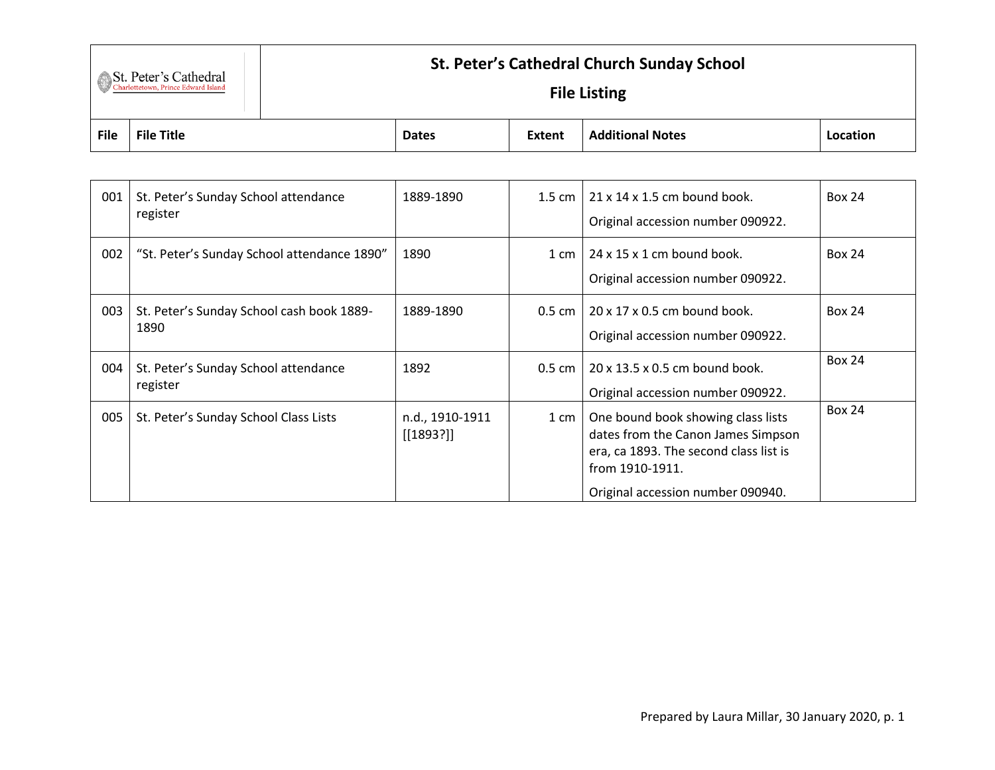## St. Peter's Cathedral

## **St. Peter's Cathedral Church Sunday School**

## **File Listing**

| <b>File</b> | <b>File Title</b>                                 | <b>Dates</b>    | Extent             | <b>Additional Notes</b>                                   | Location      |  |
|-------------|---------------------------------------------------|-----------------|--------------------|-----------------------------------------------------------|---------------|--|
|             |                                                   |                 |                    |                                                           |               |  |
| 001         | St. Peter's Sunday School attendance<br>register  | 1889-1890       | $1.5 \text{ cm}$   | $21 \times 14 \times 1.5$ cm bound book.                  | <b>Box 24</b> |  |
|             |                                                   |                 |                    | Original accession number 090922.                         |               |  |
| 002         | "St. Peter's Sunday School attendance 1890"       | 1890            | $1 \text{ cm}$     | 24 x 15 x 1 cm bound book.                                | <b>Box 24</b> |  |
|             |                                                   |                 |                    | Original accession number 090922.                         |               |  |
| 003         | St. Peter's Sunday School cash book 1889-<br>1890 | 1889-1890       | $0.5 \text{ cm}$   | 20 x 17 x 0.5 cm bound book.                              | <b>Box 24</b> |  |
|             |                                                   |                 |                    | Original accession number 090922.                         |               |  |
| 004         | St. Peter's Sunday School attendance<br>register  | 1892            | $0.5 \text{ cm}$   | 20 x 13.5 x 0.5 cm bound book.                            | <b>Box 24</b> |  |
|             |                                                   |                 |                    | Original accession number 090922.                         |               |  |
| 005         | St. Peter's Sunday School Class Lists             | n.d., 1910-1911 | $1 \, \mathrm{cm}$ | One bound book showing class lists                        | <b>Box 24</b> |  |
|             |                                                   | $[1893?]$       |                    | dates from the Canon James Simpson                        |               |  |
|             |                                                   |                 |                    | era, ca 1893. The second class list is<br>from 1910-1911. |               |  |
|             |                                                   |                 |                    | Original accession number 090940.                         |               |  |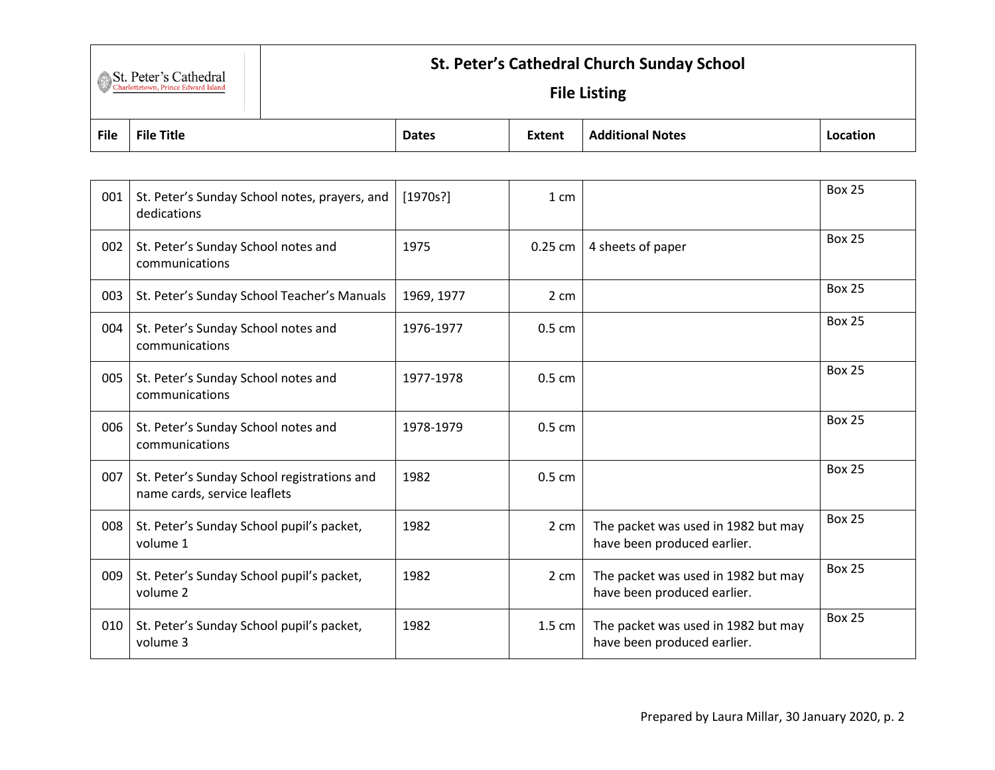|                       | <b>St. Peter's Cathedral Church Sunday School</b> |  |  |  |  |
|-----------------------|---------------------------------------------------|--|--|--|--|
| St. Peter's Cathedral | <b>File Listing</b>                               |  |  |  |  |

| <b>File</b><br><b>File</b><br>.<br>Title<br>Extent<br><b>Dates</b><br>Notes<br>nn<br>- - - - |  |  |  |  |
|----------------------------------------------------------------------------------------------|--|--|--|--|
|                                                                                              |  |  |  |  |

| 001 | St. Peter's Sunday School notes, prayers, and<br>dedications                | [1970s!]   | 1 cm    |                                                                    | <b>Box 25</b> |
|-----|-----------------------------------------------------------------------------|------------|---------|--------------------------------------------------------------------|---------------|
| 002 | St. Peter's Sunday School notes and<br>communications                       | 1975       | 0.25 cm | 4 sheets of paper                                                  | <b>Box 25</b> |
| 003 | St. Peter's Sunday School Teacher's Manuals                                 | 1969, 1977 | 2 cm    |                                                                    | <b>Box 25</b> |
| 004 | St. Peter's Sunday School notes and<br>communications                       | 1976-1977  | 0.5 cm  |                                                                    | <b>Box 25</b> |
| 005 | St. Peter's Sunday School notes and<br>communications                       | 1977-1978  | 0.5 cm  |                                                                    | <b>Box 25</b> |
| 006 | St. Peter's Sunday School notes and<br>communications                       | 1978-1979  | 0.5 cm  |                                                                    | <b>Box 25</b> |
| 007 | St. Peter's Sunday School registrations and<br>name cards, service leaflets | 1982       | 0.5 cm  |                                                                    | <b>Box 25</b> |
| 008 | St. Peter's Sunday School pupil's packet,<br>volume 1                       | 1982       | 2 cm    | The packet was used in 1982 but may<br>have been produced earlier. | <b>Box 25</b> |
| 009 | St. Peter's Sunday School pupil's packet,<br>volume 2                       | 1982       | 2 cm    | The packet was used in 1982 but may<br>have been produced earlier. | <b>Box 25</b> |
| 010 | St. Peter's Sunday School pupil's packet,<br>volume 3                       | 1982       | 1.5 cm  | The packet was used in 1982 but may<br>have been produced earlier. | <b>Box 25</b> |